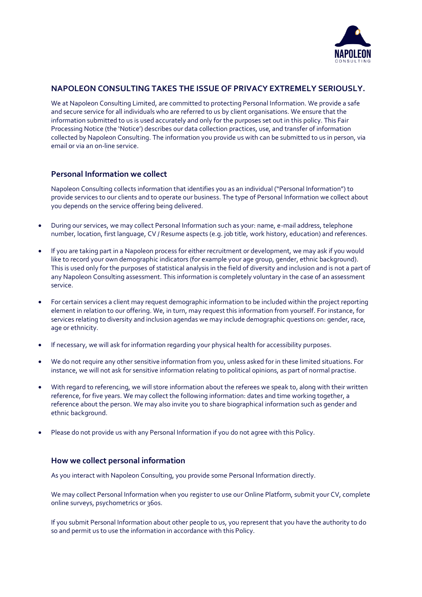

# **NAPOLEON CONSULTING TAKES THE ISSUE OF PRIVACY EXTREMELY SERIOUSLY.**

We at Napoleon Consulting Limited, are committed to protecting Personal Information. We provide a safe and secure service for all individuals who are referred to us by client organisations. We ensure that the information submitted to us is used accurately and only for the purposes set out in this policy. This Fair Processing Notice (the 'Notice') describes our data collection practices, use, and transfer of information collected by Napoleon Consulting. The information you provide us with can be submitted to us in person, via email or via an on-line service.

### **Personal Information we collect**

Napoleon Consulting collects information that identifies you as an individual ("Personal Information") to provide services to our clients and to operate our business. The type of Personal Information we collect about you depends on the service offering being delivered.

- During our services, we may collect Personal Information such as your: name, e-mail address, telephone number, location, first language, CV / Resume aspects (e.g. job title, work history, education) and references.
- If you are taking part in a Napoleon process for either recruitment or development, we may ask if you would like to record your own demographic indicators (for example your age group, gender, ethnic background). This is used only for the purposes of statistical analysis in the field of diversity and inclusion and is not a part of any Napoleon Consulting assessment. This information is completely voluntary in the case of an assessment service.
- For certain services a client may request demographic information to be included within the project reporting element in relation to our offering. We, in turn, may request this information from yourself. For instance, for services relating to diversity and inclusion agendas we may include demographic questions on: gender, race, age or ethnicity.
- If necessary, we will ask for information regarding your physical health for accessibility purposes.
- We do not require any other sensitive information from you, unless asked for in these limited situations. For instance, we will not ask for sensitive information relating to political opinions, as part of normal practise.
- With regard to referencing, we will store information about the referees we speak to, along with their written reference, for five years. We may collect the following information: dates and time working together, a reference about the person. We may also invite you to share biographical information such as gender and ethnic background.
- Please do not provide us with any Personal Information if you do not agree with this Policy.

### **How we collect personal information**

As you interact with Napoleon Consulting, you provide some Personal Information directly.

We may collect Personal Information when you register to use our Online Platform, submit your CV, complete online surveys, psychometrics or 360s.

If you submit Personal Information about other people to us, you represent that you have the authority to do so and permit us to use the information in accordance with this Policy.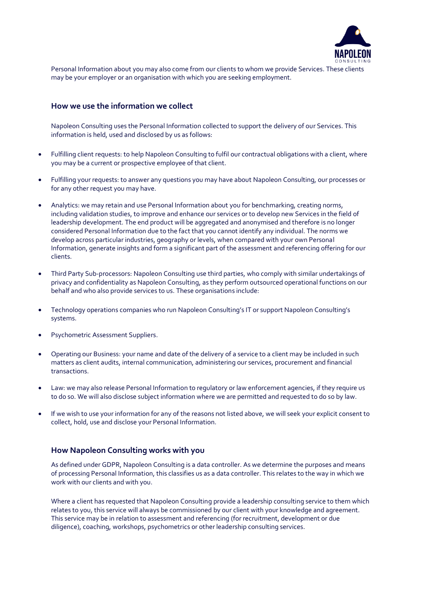

Personal Information about you may also come from our clients to whom we provide Services. These clients may be your employer or an organisation with which you are seeking employment.

#### **How we use the information we collect**

Napoleon Consulting uses the Personal Information collected to support the delivery of our Services. This information is held, used and disclosed by us as follows:

- Fulfilling client requests: to help Napoleon Consulting to fulfil our contractual obligations with a client, where you may be a current or prospective employee of that client.
- Fulfilling your requests: to answer any questions you may have about Napoleon Consulting, our processes or for any other request you may have.
- Analytics: we may retain and use Personal Information about you for benchmarking, creating norms, including validation studies, to improve and enhance our services or to develop new Services in the field of leadership development. The end product will be aggregated and anonymised and therefore is no longer considered Personal Information due to the fact that you cannot identify any individual. The norms we develop across particular industries, geography or levels, when compared with your own Personal Information, generate insights and form a significant part of the assessment and referencing offering for our clients.
- Third Party Sub-processors: Napoleon Consulting use third parties, who comply with similar undertakings of privacy and confidentiality as Napoleon Consulting, as they perform outsourced operational functions on our behalf and who also provide services to us. These organisations include:
- Technology operations companies who run Napoleon Consulting's IT or support Napoleon Consulting's systems.
- Psychometric Assessment Suppliers.
- Operating our Business: your name and date of the delivery of a service to a client may be included in such matters as client audits, internal communication, administering our services, procurement and financial transactions.
- Law: we may also release Personal Information to regulatory or law enforcement agencies, if they require us to do so. We will also disclose subject information where we are permitted and requested to do so by law.
- If we wish to use your information for any of the reasons not listed above, we will seek your explicit consent to collect, hold, use and disclose your Personal Information.

#### **How Napoleon Consulting works with you**

As defined under GDPR, Napoleon Consulting is a data controller. As we determine the purposes and means of processing Personal Information, this classifies us as a data controller. This relates to the way in which we work with our clients and with you.

Where a client has requested that Napoleon Consulting provide a leadership consulting service to them which relates to you, this service will always be commissioned by our client with your knowledge and agreement. This service may be in relation to assessment and referencing (for recruitment, development or due diligence), coaching, workshops, psychometrics or other leadership consulting services.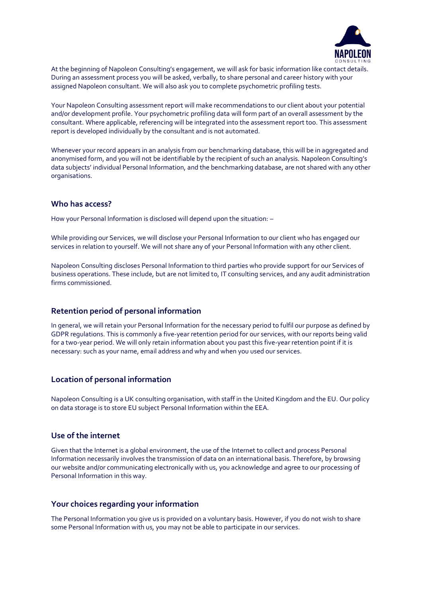

At the beginning of Napoleon Consulting's engagement, we will ask for basic information like contact details. During an assessment process you will be asked, verbally, to share personal and career history with your assigned Napoleon consultant. We will also ask you to complete psychometric profiling tests.

Your Napoleon Consulting assessment report will make recommendations to our client about your potential and/or development profile. Your psychometric profiling data will form part of an overall assessment by the consultant. Where applicable, referencing will be integrated into the assessment report too. This assessment report is developed individually by the consultant and is not automated.

Whenever your record appears in an analysis from our benchmarking database, this will be in aggregated and anonymised form, and you will not be identifiable by the recipient of such an analysis. Napoleon Consulting's data subjects' individual Personal Information, and the benchmarking database, are not shared with any other organisations.

#### **Who has access?**

How your Personal Information is disclosed will depend upon the situation: –

While providing our Services, we will disclose your Personal Information to our client who has engaged our services in relation to yourself. We will not share any of your Personal Information with any other client.

Napoleon Consulting discloses Personal Information to third parties who provide support for our Services of business operations. These include, but are not limited to, IT consulting services, and any audit administration firms commissioned.

### **Retention period of personal information**

In general, we will retain your Personal Information for the necessary period to fulfil our purpose as defined by GDPR regulations. This is commonly a five-year retention period for our services, with our reports being valid for a two-year period. We will only retain information about you past this five-year retention point if it is necessary: such as your name, email address and why and when you used our services.

# **Location of personal information**

Napoleon Consulting is a UK consulting organisation, with staff in the United Kingdom and the EU. Our policy on data storage is to store EU subject Personal Information within the EEA.

#### **Use of the internet**

Given that the Internet is a global environment, the use of the Internet to collect and process Personal Information necessarily involves the transmission of data on an international basis. Therefore, by browsing our website and/or communicating electronically with us, you acknowledge and agree to our processing of Personal Information in this way.

### **Your choices regarding your information**

The Personal Information you give us is provided on a voluntary basis. However, if you do not wish to share some Personal Information with us, you may not be able to participate in our services.